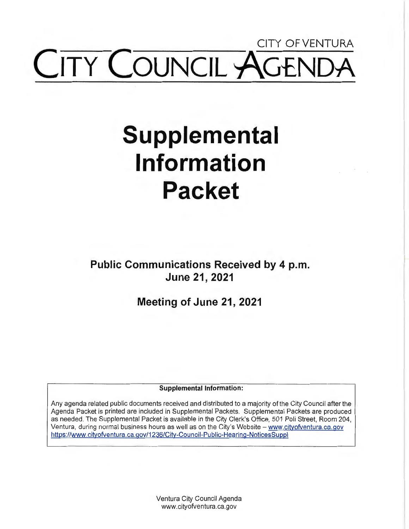## CITY OF VENTURA **COUNCIL**

# **Supplemental Information Packet**

**Public Communications Received by 4 p.m. June 21, 2021** 

**Meeting of June 21, 2021** 

**Supplemental Information:** 

Any agenda related public documents received and distributed to a majority of the City Council after the Agenda Packet is printed are included in Supplemental Packets. Supplemental Packets are produced as needed. The Supplemental Packet is available in the City Clerk's Office, 501 Poli Street, Room 204, Ventura, during normal business hours as well as on the City's Website - www.cityofventura.ca.gov https://www.cityofventura.ca.gov/1236/City-Council-Public-Hearing-NoticesSuppl

> Ventura City Council Agenda www.cityofventura.ca.gov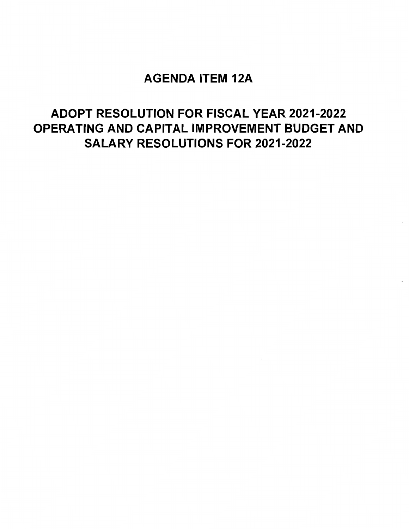### AGENDA ITEM 12A

## ADOPT RESOLUTION FOR FISCAL YEAR 2021-2022 OPERATING AND CAPITAL IMPROVEMENT BUDGET AND SALARY RESOLUTIONS FOR 2021-2022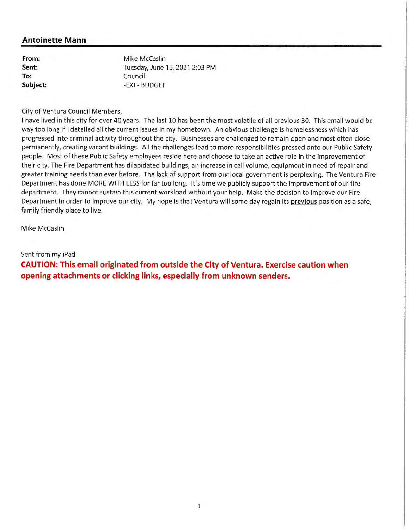**From: Sent: To: Subject:** 

Mike Mccaslin Tuesday, June 15, 2021 2:03 PM Council -EXT- BUDGET

City of Ventura Council Members,

I have lived in this city for over 40 years. The last 10 has been the most volatile of all previous 30. This email would be way too long if I detailed all the current issues in my hometown. An obvious challenge is homelessness which has progressed into criminal activity throughout the city. Businesses are challenged to remain open and most often close permanently, creating vacant buildings. All the challenges lead to more responsibilities pressed onto our Public Safety people. Most of these Public Safety employees reside here and choose to take an active role in the improvement of their city. The Fire Department has dilapidated buildings, an increase in call volume, equipment in need of repair and greater training needs than ever before. The lack of support from our local government is perplexing. The Ventura Fire Department has done MORE WITH LESS for far too long. It's time we publicly support the improvement of our fire department. They cannot sustain this current workload without your help. Make the decision to improve our Fire Department in order to improve our city. My hope is that Ventura will some day regain its **previous** position as a safe, family friendly place to live.

Mike Mccaslin

Sent from my iPad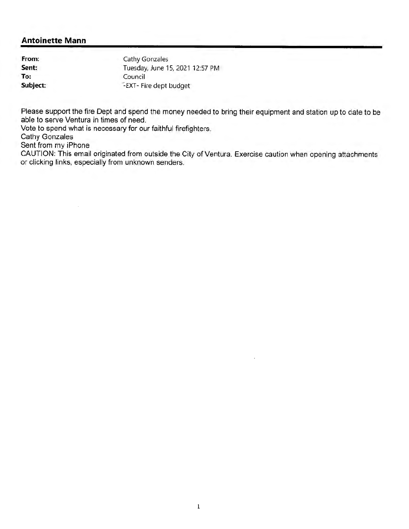**From: Sent: To: Subject:** 

Cathy Gonzales Tuesday, June 15, 2021 12:57 PM Council ':EXT- Fire dept budget

Please support the fire Dept and spend the money needed to bring their equipment and station up to date to be able to serve Ventura in times of need.

Vote to spend what is necessary for our faithful firefighters.

Cathy Gonzales

Sent from my iPhone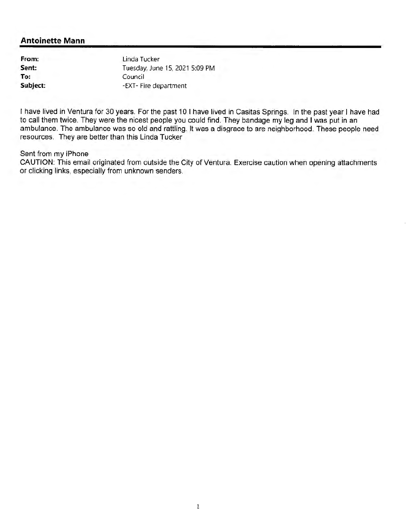**From: Sent: To: Subject:**  Linda Tucker Tuesday, June 15, 2021 5:09 PM Council -EXT- Fire department

I have lived in Ventura for 30 years. For the past 10 I have lived in Casitas Springs. In the past year I have had to call them twice. They were the nicest people you could find. They bandage my leg and I was put in an ambulance. The ambulance was so old and rattling. It was a disgrace to are neighborhood. These people need resources. They are better than this Linda Tucker

#### Sent from my iPhone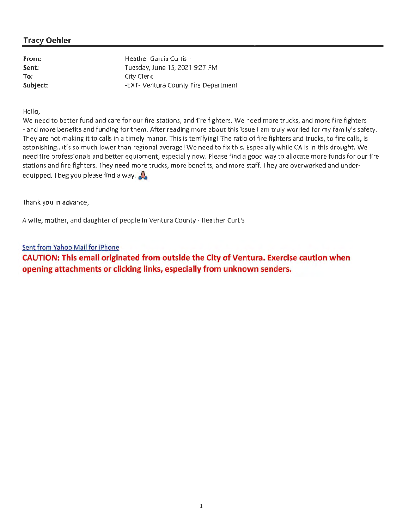#### **Tracy Oehler**

**From: Sent: To: Subject:** 

Heather Garcia Curtis · Tuesday, June 15, 2021 9:27 PM City Clerk -EXT- Ventura County Fire Department

Hello,

We need to better fund and care for our fire stations, and fire fighters. We need more trucks, and more fire fighters - and more benefits and funding for them. After reading more about this issue I am truly worried for my family's safety. They are not making it to calls in a timely manor. This is terrifying! The ratio of fire fighters and trucks, to fire calls, is astonishing.. it's so much lower than regional average! We need to fix this. Especially while CA is in this drought. We need fire professionals and better equipment, especially now. Please find a good way to allocate more funds for our fire stations and fire fighters. They need more trucks, more benefits, and more staff. They are overworked and underequipped. I beg you please find a way. **A** 

Thank you in advance,

A wife, mother, and daughter of people in Ventura County - Heather Curtis

Sent from Yahoo Mail for iPhone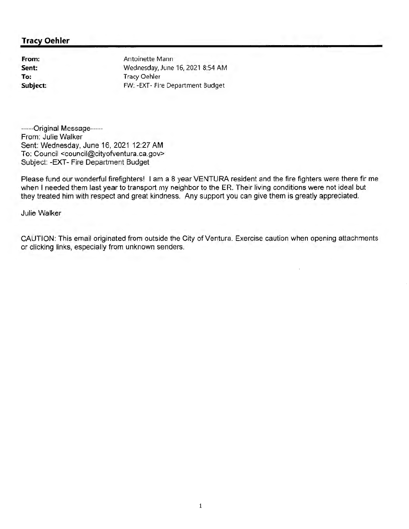#### **Tracy Oehler**

**From: Sent: To: Subject:**  Antoinette Mann Wednesday, June 16, 2021 8:54 AM Tracy Oehler FW: -EXT- Fire Department Budget

-----Original Message----- From: Julie Walker Sent: Wednesday, June 16, 2021 12:27 AM To: Council <council@cityofventura.ca.gov> Subject: -EXT- Fire Department Budget

Please fund our wonderful firefighters! I am a 8 year VENTURA resident and the fire fighters were there fir me when I needed them last year to transport my neighbor to the ER. Their living conditions were not ideal but they treated him with respect and great kindness. Any support you can give them is greatly appreciated.

Julie Walker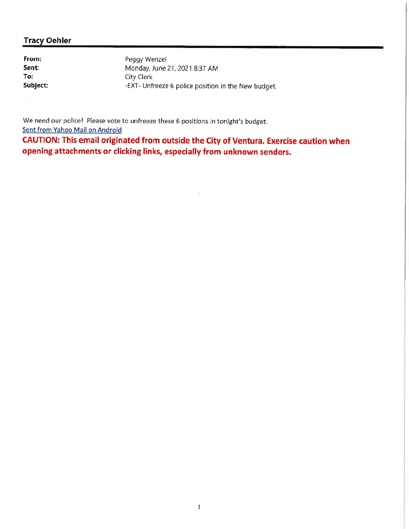#### **Tracy Oehler**

**From: Sent: To: Subject:** 

Peggy Wenzel Monday, June 21, 2021 8:37 AM City Clerk -EXT- Unfreeze 6 police position in the New budget.

We need our police! Please vote to unfreeze these 6 positions in tonight's budget. Sent from Yahoo Mail on Android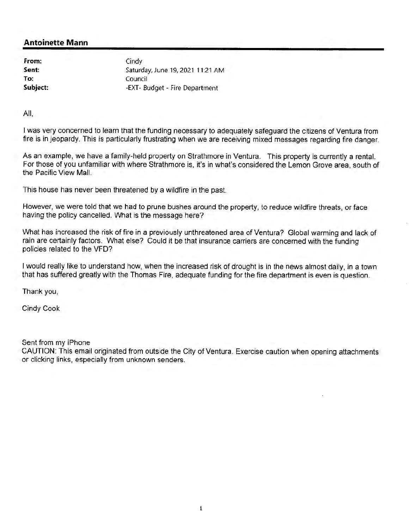**From: Sent: To: Subject:**  **Cindy** Saturday, June 19, 2021 11:21 AM Council -EXT- Budget - Fire Department

All,

I was very concerned to learn that the funding necessary to adequately safeguard the citizens of Ventura from fire is in jeopardy. This is particularly frustrating when we are receiving mixed messages regarding fire danger.

As an example, we have a family-held property on Strathmore in Ventura. This property is currently a rental. For those of you unfamiliar with where Strathmore is, it's in what's considered the Lemon Grove area, south of the Pacific View Mall.

This house has never been threatened by a wildfire in the past

However, we were told that we had to prune bushes around the property, to reduce wildfire threats, or face having the policy cancelled. What is the message here?

What has increased the risk of fire in a previously unthreatened area of Ventura? Global warming and lack of rain are certainly factors. What else? Could it be that insurance carriers are concerned with the funding policies related to the VFD?

I would really like to understand how, when the increased risk of drought is in the news almost daily, in a town that has suffered greatly with the Thomas Fire, adequate funding for the fire department is even is question.

Thank you,

Cindy Cook

Sent from my iPhone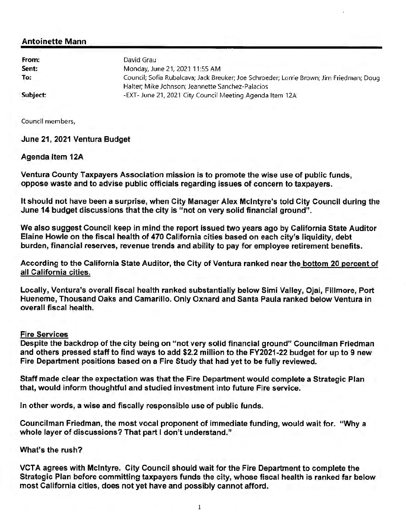| David Grau                                                                              |
|-----------------------------------------------------------------------------------------|
| Monday, June 21, 2021 11:55 AM                                                          |
| Council; Sofia Rubalcava; Jack Breuker; Joe Schroeder; Lorrie Brown; Jim Friedman; Doug |
| Halter; Mike Johnson; Jeannette Sanchez-Palacios                                        |
| -EXT- June 21, 2021 City Council Meeting Agenda Item 12A                                |
|                                                                                         |

Council members,

#### June 21, 2021 Ventura Budget

#### Agenda Item 12A

Ventura County Taxpayers Association mission is to promote the wise use of public funds, oppose waste and to advise public officials regarding issues of concern to taxpayers.

It should not have been a surprise, when City Manager Alex McIntyre's told City Council during the June 14 budget discussions that the city is "not on very solid financial ground".

We also suggest Council keep in mind the report issued two years ago by California State Auditor Elaine Howle on the fiscal health of 470 California cities based on each city's liquidity, debt burden, financial reserves, revenue trends and ability to pay for employee retirement benefits.

According to the California State Auditor, the City of Ventura ranked near the bottom 20 percent of all California cities.

Locally, Ventura's overall fiscal health ranked substantially below Simi Valley, Ojai, Fillmore, Port Hueneme, Thousand Oaks and Camarillo. Only Oxnard and Santa Paula ranked below Ventura in overall fiscal health.

#### Fire Services

Despite the backdrop of the city being on "not very solid financial ground" Councilman Friedman and others pressed staff to find ways to add \$2.2 million to the FY2021-22 budget for up to 9 new Fire Department positions based on a Fire Study that had yet to be fully reviewed.

Staff made clear the expectation was that the Fire Department would complete a Strategic Plan that, would inform thoughtful and studied Investment into future Fire service.

In other words, a wise and fiscally responsible use of public funds.

Councilman Friedman, the most vocal proponent of immediate funding, would wait for. "Why a whole layer of discussions? That part I don't understand."

#### What's the rush?

VCT A agrees with McIntyre. City Council should wait for the Fire Department to complete the Strategic Plan before committing taxpayers funds the city, whose fiscal health is ranked far below most California cities, does not yet have and possibly cannot afford.